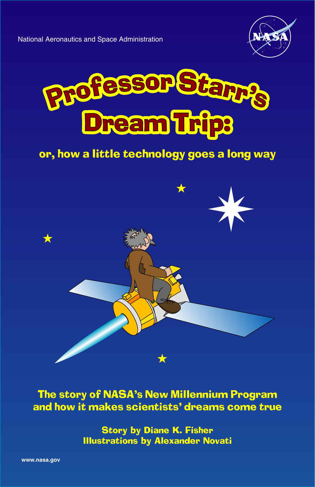National Aeronautics and Space Administration





## or, how a little technology goes a long way



### The story of NASA's New Millennium Program and how it makes scientists' dreams come true

**Story by Diane K. Fisher Illustrations by Alexander Novati** 

**www.nasa.gov**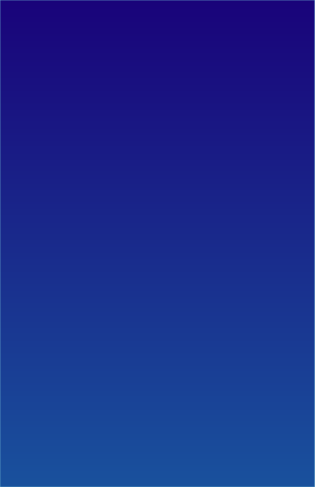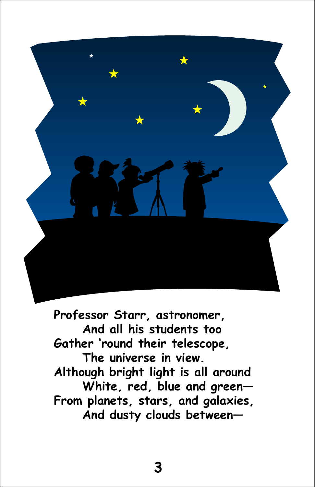

**Professor Starr, astronomer, And all his students too Gather 'round their telescope, The universe in view. Although bright light is all around White, red, blue and green— From planets, stars, and galaxies, And dusty clouds between—**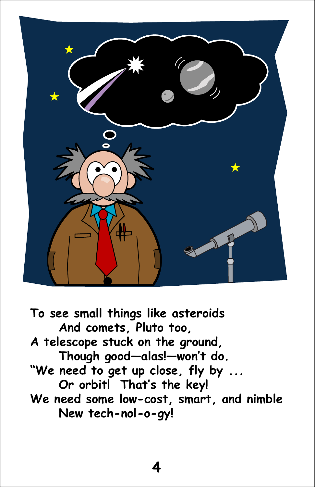

**To see small things like asteroids And comets, Pluto too, A telescope stuck on the ground, Though good—alas!—won't do. "We need to get up close, fly by ... Or orbit! That's the key! We need some low-cost, smart, and nimble New tech-nol-o-gy!**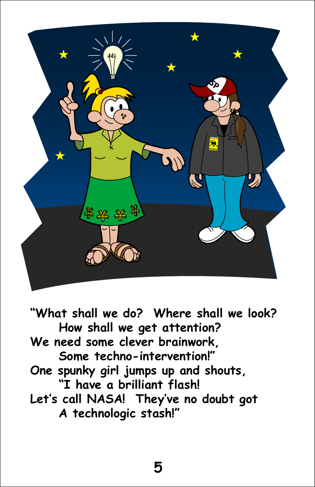

**"What shall we do? Where shall we look? How shall we get attention? We need some clever brainwork, Some techno-intervention!" One spunky girl jumps up and shouts, "I have a brilliant flash! Let's call NASA! They've no doubt got A technologic stash!"**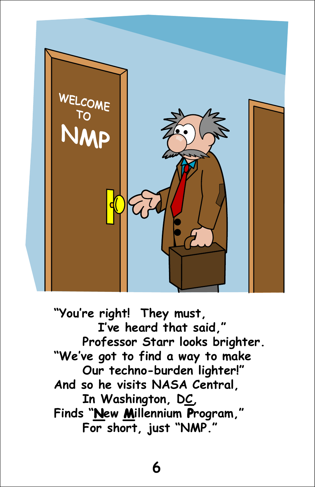

**"You're right! They must, I've heard that said," Professor Starr looks brighter. "We've got to find a way to make Our techno-burden lighter!" And so he visits NASA Central, In Washington, DC, Finds "New Millennium Program," For short, just "NMP."**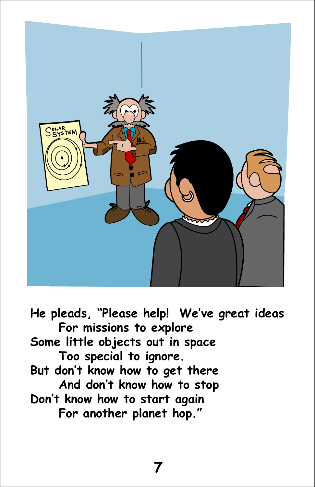

**He pleads, "Please help! We've great ideas For missions to explore Some little objects out in space Too special to ignore. But don't know how to get there And don't know how to stop Don't know how to start again For another planet hop."**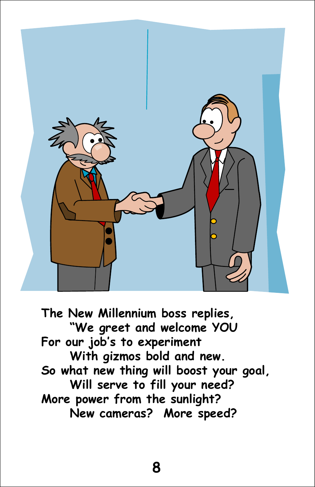

**The New Millennium boss replies, "We greet and welcome YOU For our job's to experiment With gizmos bold and new. So what new thing will boost your goal, Will serve to fill your need? More power from the sunlight? New cameras? More speed?**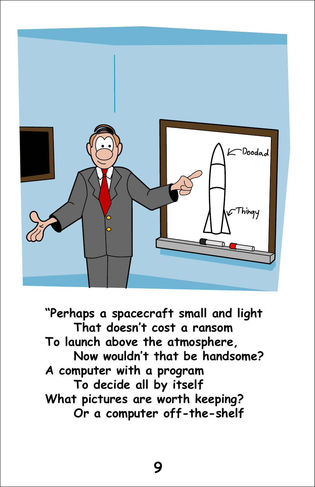

**"Perhaps a spacecraft small and light That doesn't cost a ransom To launch above the atmosphere, Now wouldn't that be handsome? A computer with a program To decide all by itself What pictures are worth keeping? Or a computer off-the-shelf**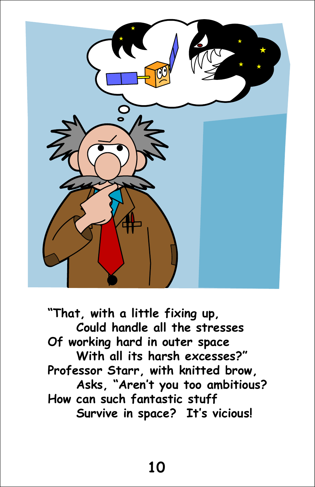

**"That, with a little fixing up, Could handle all the stresses Of working hard in outer space With all its harsh excesses?" Professor Starr, with knitted brow, Asks, "Aren't you too ambitious? How can such fantastic stuff Survive in space? It's vicious!**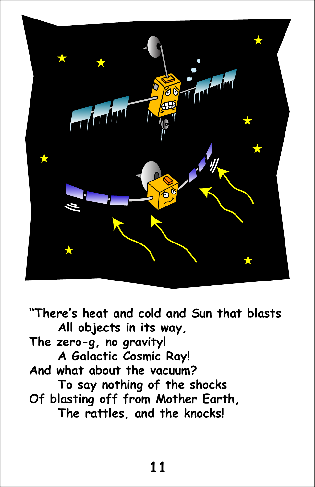

**"There's heat and cold and Sun that blasts All objects in its way, The zero-g, no gravity! A Galactic Cosmic Ray! And what about the vacuum? To say nothing of the shocks Of blasting off from Mother Earth, The rattles, and the knocks!**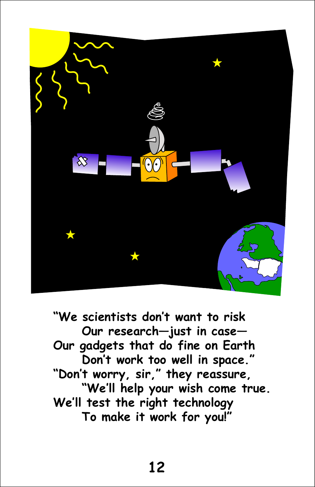

**"We scientists don't want to risk Our research—just in case— Our gadgets that do fine on Earth Don't work too well in space." "Don't worry, sir," they reassure, "We'll help your wish come true. We'll test the right technology To make it work for you!"**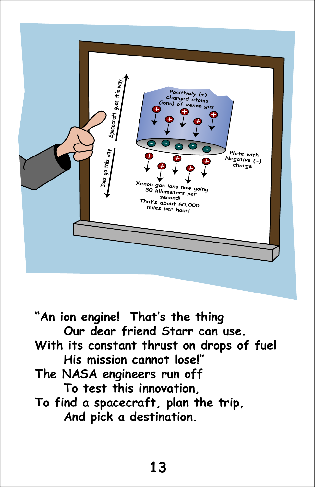

**"An ion engine! That's the thing Our dear friend Starr can use. With its constant thrust on drops of fuel His mission cannot lose!" The NASA engineers run off To test this innovation, To find a spacecraft, plan the trip, And pick a destination.**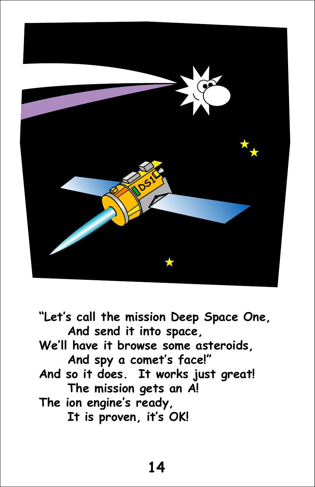

**"Let's call the mission Deep Space One, And send it into space, We'll have it browse some asteroids, And spy a comet's face!" And so it does. It works just great! The mission gets an A! The ion engine's ready, It is proven, it's OK!**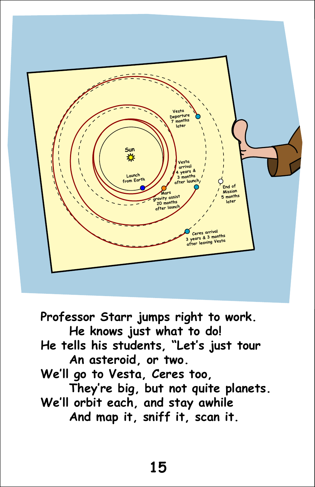

**Professor Starr jumps right to work. He knows just what to do! He tells his students, "Let's just tour An asteroid, or two. We'll go to Vesta, Ceres too, They're big, but not quite planets. We'll orbit each, and stay awhile And map it, sniff it, scan it.**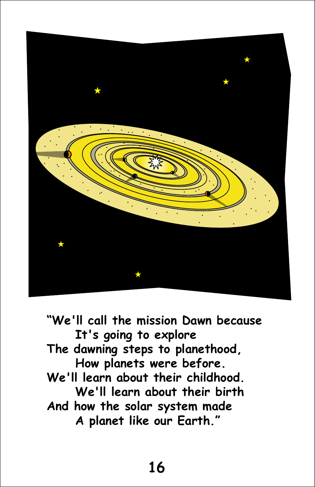

- **"We'll call the mission Dawn because It's going to explore**
- **The dawning steps to planethood, How planets were before.**
- **We'll learn about their childhood. We'll learn about their birth And how the solar system made**
	- **A planet like our Earth."**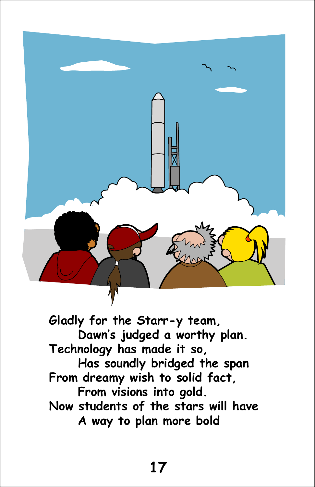

**Gladly for the Starr-y team, Dawn's judged a worthy plan. Technology has made it so, Has soundly bridged the span From dreamy wish to solid fact, From visions into gold. Now students of the stars will have A way to plan more bold**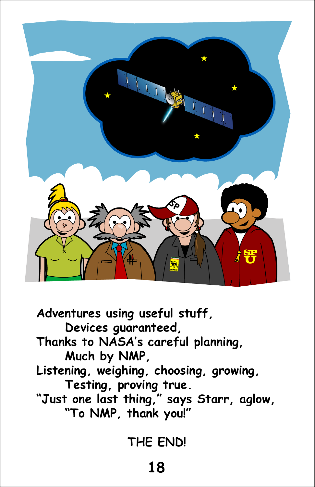

**Adventures using useful stuff, Devices guaranteed, Thanks to NASA's careful planning, Much by NMP, Listening, weighing, choosing, growing, Testing, proving true. "Just one last thing," says Starr, aglow, "To NMP, thank you!"**

# **THE END!**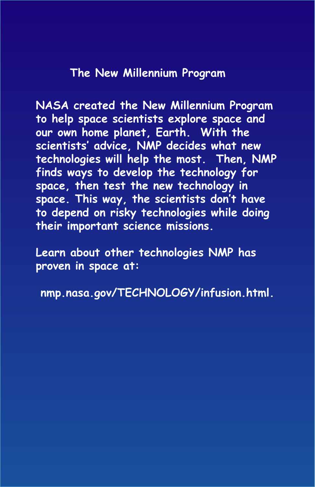### **The New Millennium Program**

**NASA created the New Millennium Program to help space scientists explore space and our own home planet, Earth. With the scientists' advice, NMP decides what new technologies will help the most. Then, NMP finds ways to develop the technology for space, then test the new technology in space. This way, the scientists don't have to depend on risky technologies while doing their important science missions.**

**Learn about other technologies NMP has proven in space at:**

 **nmp.nasa.gov/TECHNOLOGY/infusion.html.**